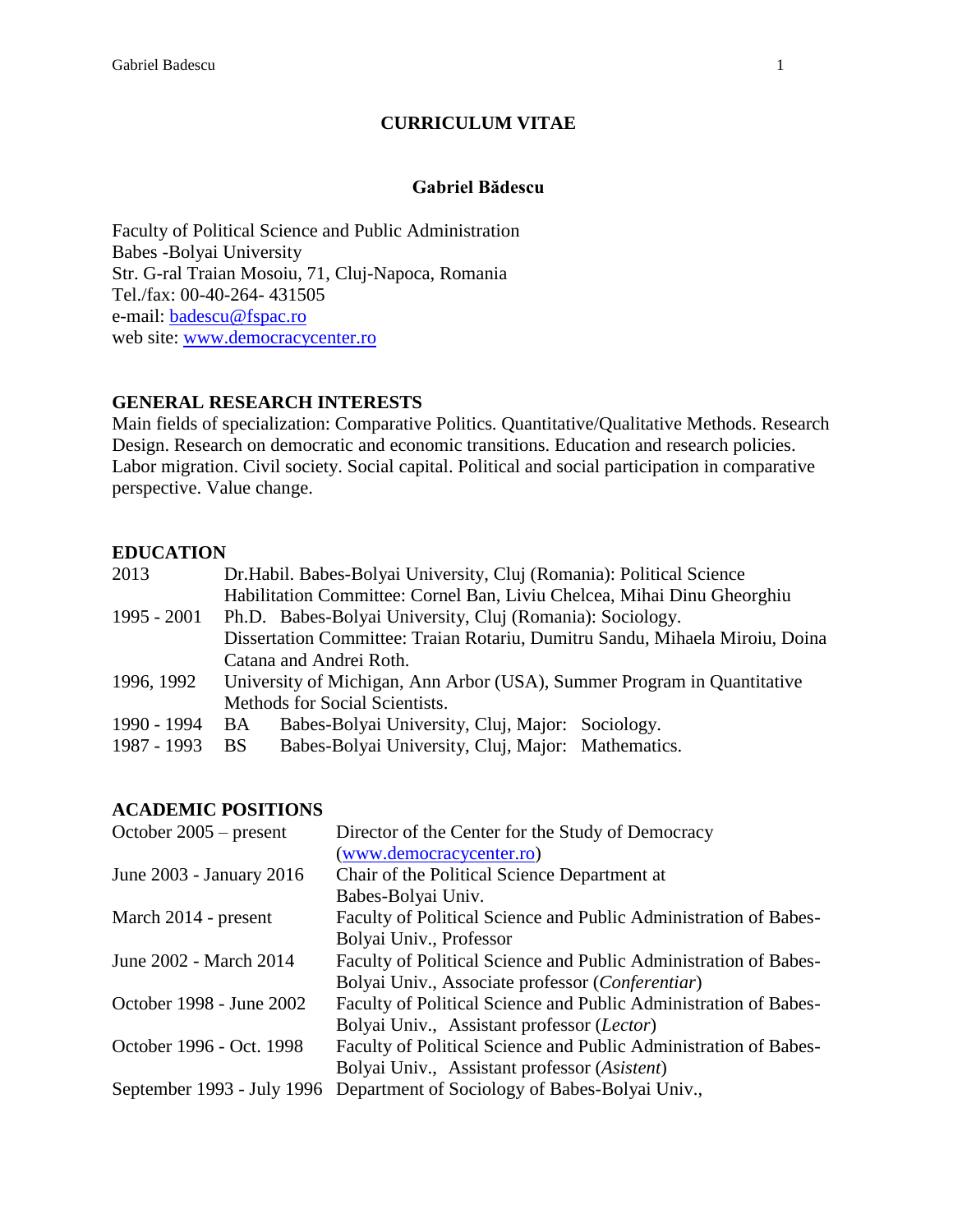### **CURRICULUM VITAE**

#### **Gabriel Bădescu**

Faculty of Political Science and Public Administration Babes -Bolyai University Str. G-ral Traian Mosoiu, 71, Cluj-Napoca, Romania Tel./fax: 00-40-264- 431505 e-mail: [badescu@fspac.ro](mailto:badescu@fspac.ro) web site: [www.democracycenter.ro](http://www.democracycenter.ro/)

### **GENERAL RESEARCH INTERESTS**

Main fields of specialization: Comparative Politics. Quantitative/Qualitative Methods. Research Design. Research on democratic and economic transitions. Education and research policies. Labor migration. Civil society. Social capital. Political and social participation in comparative perspective. Value change.

### **EDUCATION**

| 2013        | Dr. Habil. Babes-Bolyai University, Cluj (Romania): Political Science        |  |  |
|-------------|------------------------------------------------------------------------------|--|--|
|             | Habilitation Committee: Cornel Ban, Liviu Chelcea, Mihai Dinu Gheorghiu      |  |  |
| 1995 - 2001 | Ph.D. Babes-Bolyai University, Cluj (Romania): Sociology.                    |  |  |
|             | Dissertation Committee: Traian Rotariu, Dumitru Sandu, Mihaela Miroiu, Doina |  |  |
|             | Catana and Andrei Roth.                                                      |  |  |
| 1996, 1992  | University of Michigan, Ann Arbor (USA), Summer Program in Quantitative      |  |  |
|             | Methods for Social Scientists.                                               |  |  |
| 1990 - 1994 | Babes-Bolyai University, Cluj, Major: Sociology.<br>BA                       |  |  |
| 1987 - 1993 | Babes-Bolyai University, Cluj, Major: Mathematics.<br><b>BS</b>              |  |  |

#### **ACADEMIC POSITIONS**

| October $2005$ – present | Director of the Center for the Study of Democracy                         |
|--------------------------|---------------------------------------------------------------------------|
|                          | (www.democracycenter.ro)                                                  |
| June 2003 - January 2016 | Chair of the Political Science Department at                              |
|                          | Babes-Bolyai Univ.                                                        |
| March 2014 - present     | Faculty of Political Science and Public Administration of Babes-          |
|                          | Bolyai Univ., Professor                                                   |
| June 2002 - March 2014   | Faculty of Political Science and Public Administration of Babes-          |
|                          | Bolyai Univ., Associate professor (Conferentiar)                          |
| October 1998 - June 2002 | Faculty of Political Science and Public Administration of Babes-          |
|                          | Bolyai Univ., Assistant professor (Lector)                                |
| October 1996 - Oct. 1998 | Faculty of Political Science and Public Administration of Babes-          |
|                          | Bolyai Univ., Assistant professor (Asistent)                              |
|                          | September 1993 - July 1996 Department of Sociology of Babes-Bolyai Univ., |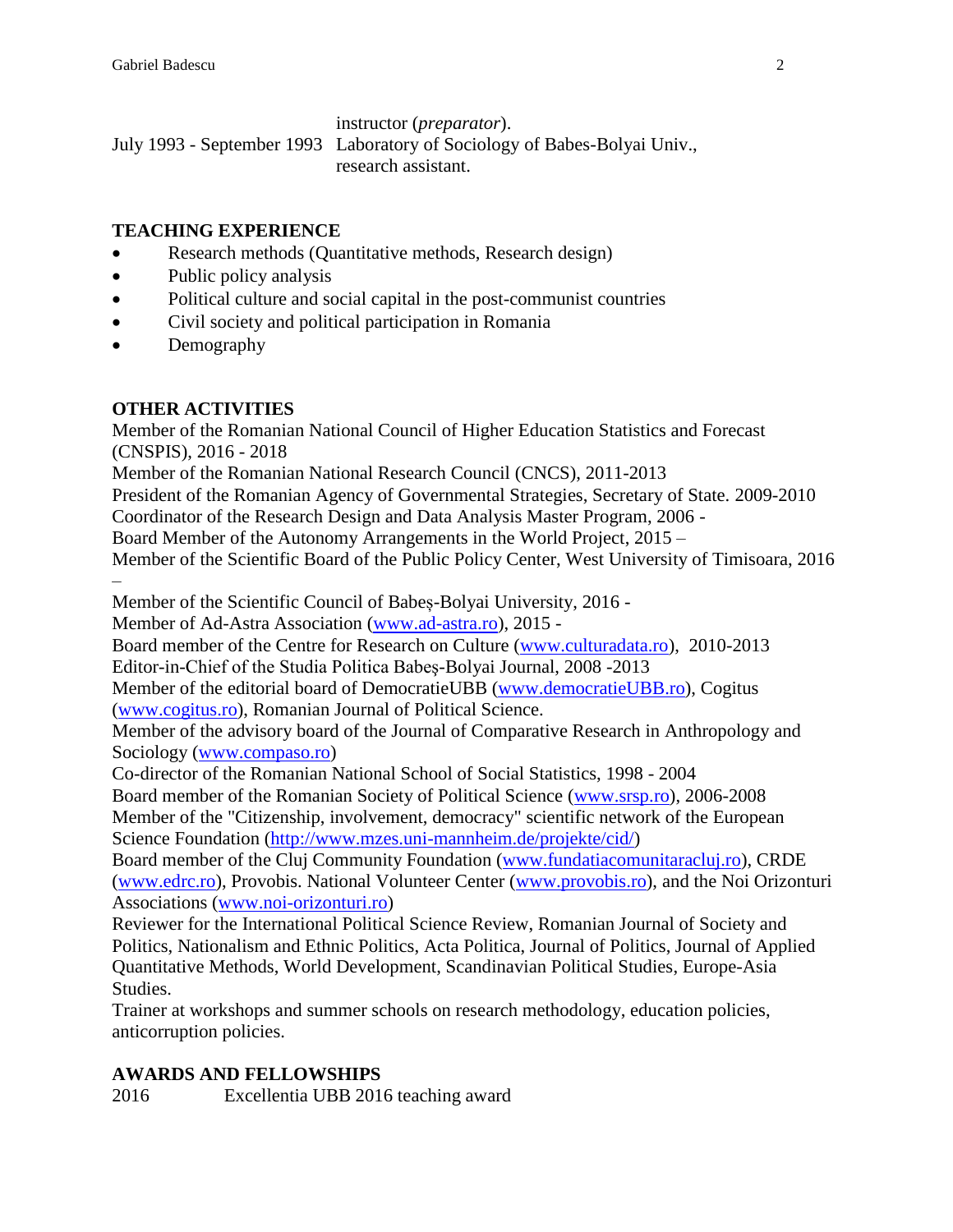instructor (*preparator*).

July 1993 - September 1993 Laboratory of Sociology of Babes-Bolyai Univ., research assistant.

## **TEACHING EXPERIENCE**

- Research methods (Quantitative methods, Research design)
- Public policy analysis
- Political culture and social capital in the post-communist countries
- Civil society and political participation in Romania
- Demography

# **OTHER ACTIVITIES**

Member of the Romanian National Council of Higher Education Statistics and Forecast (CNSPIS), 2016 - 2018

Member of the Romanian National Research Council (CNCS), 2011-2013

President of the Romanian Agency of Governmental Strategies, Secretary of State. 2009-2010

Coordinator of the Research Design and Data Analysis Master Program, 2006 -

Board Member of the Autonomy Arrangements in the World Project, 2015 –

Member of the Scientific Board of the Public Policy Center, West University of Timisoara, 2016 –

Member of the Scientific Council of Babeș-Bolyai University, 2016 -

Member of Ad-Astra Association [\(www.ad-astra.ro\)](http://www.ad-astra.ro/), 2015 -

Board member of the Centre for Research on Culture [\(www.culturadata.ro\)](http://www.culturadata.ro/), 2010-2013 Editor-in-Chief of the Studia Politica Babeş-Bolyai Journal, 2008 -2013

Member of the editorial board of DemocratieUBB [\(www.democratieUBB.ro\)](http://www.democratieubb.ro/), Cogitus [\(www.cogitus.ro\)](http://www.cogitus.ro/), Romanian Journal of Political Science.

Member of the advisory board of the Journal of Comparative Research in Anthropology and Sociology [\(www.compaso.ro\)](http://www.compaso.ro/)

Co-director of the Romanian National School of Social Statistics, 1998 - 2004

Board member of the Romanian Society of Political Science [\(www.srsp.ro\)](http://www.srsp.ro/), 2006-2008 Member of the "Citizenship, involvement, democracy" scientific network of the European Science Foundation [\(http://www.mzes.uni-mannheim.de/projekte/cid/\)](http://www.mzes.uni-mannheim.de/projekte/cid/)

Board member of the Cluj Community Foundation [\(www.fundatiacomunitaracluj.ro\)](http://www.fundatiacomunitaracluj.ro/), CRDE [\(www.edrc.ro\)](http://www.edrc.ro/), Provobis. National Volunteer Center [\(www.provobis.ro\)](http://www.provobis.ro/), and the Noi Orizonturi Associations [\(www.noi-orizonturi.ro\)](http://www.noi-orizonturi.ro/)

Reviewer for the International Political Science Review, Romanian Journal of Society and Politics, Nationalism and Ethnic Politics, Acta Politica, Journal of Politics, Journal of Applied Quantitative Methods, World Development, Scandinavian Political Studies, Europe-Asia Studies.

Trainer at workshops and summer schools on research methodology, education policies, anticorruption policies.

# **AWARDS AND FELLOWSHIPS**

2016 Excellentia UBB 2016 teaching award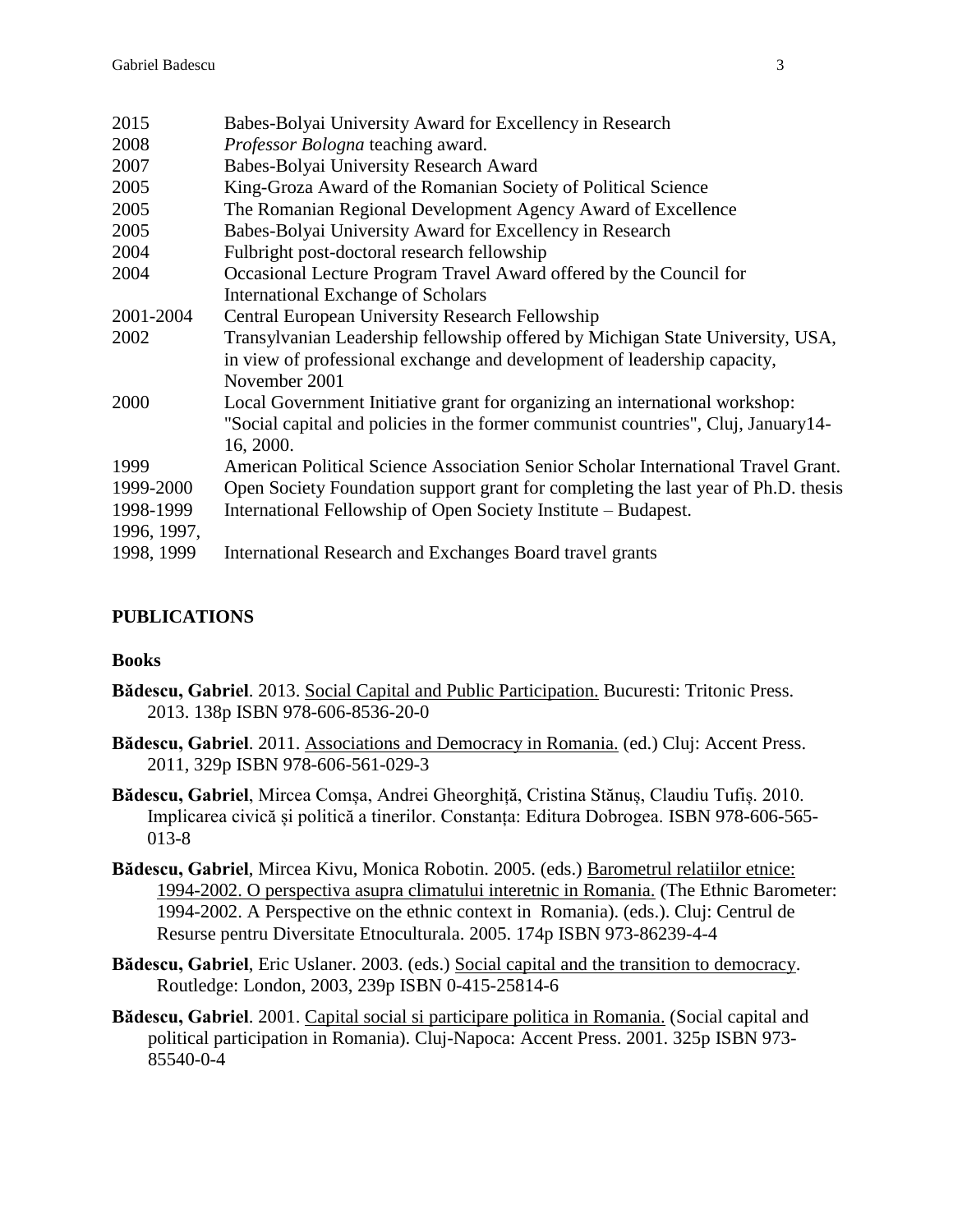| 2015        | Babes-Bolyai University Award for Excellency in Research                                                                                                                      |
|-------------|-------------------------------------------------------------------------------------------------------------------------------------------------------------------------------|
| 2008        | <i>Professor Bologna</i> teaching award.                                                                                                                                      |
| 2007        | Babes-Bolyai University Research Award                                                                                                                                        |
| 2005        | King-Groza Award of the Romanian Society of Political Science                                                                                                                 |
| 2005        | The Romanian Regional Development Agency Award of Excellence                                                                                                                  |
| 2005        | Babes-Bolyai University Award for Excellency in Research                                                                                                                      |
| 2004        | Fulbright post-doctoral research fellowship                                                                                                                                   |
| 2004        | Occasional Lecture Program Travel Award offered by the Council for                                                                                                            |
|             | <b>International Exchange of Scholars</b>                                                                                                                                     |
| 2001-2004   | Central European University Research Fellowship                                                                                                                               |
| 2002        | Transylvanian Leadership fellowship offered by Michigan State University, USA,<br>in view of professional exchange and development of leadership capacity,<br>November 2001   |
| 2000        | Local Government Initiative grant for organizing an international workshop:<br>"Social capital and policies in the former communist countries", Cluj, January14-<br>16, 2000. |
| 1999        | American Political Science Association Senior Scholar International Travel Grant.                                                                                             |
| 1999-2000   | Open Society Foundation support grant for completing the last year of Ph.D. thesis                                                                                            |
| 1998-1999   | International Fellowship of Open Society Institute – Budapest.                                                                                                                |
| 1996, 1997, |                                                                                                                                                                               |
| 1998, 1999  | International Research and Exchanges Board travel grants                                                                                                                      |
|             |                                                                                                                                                                               |

## **PUBLICATIONS**

#### **Books**

- **Bădescu, Gabriel**. 2013. Social Capital and Public Participation. Bucuresti: Tritonic Press. 2013. 138p ISBN 978-606-8536-20-0
- **Bădescu, Gabriel**. 2011. Associations and Democracy in Romania. (ed.) Cluj: Accent Press. 2011, 329p ISBN 978-606-561-029-3
- **Bădescu, Gabriel**, Mircea Comșa, Andrei Gheorghiță, Cristina Stănuș, Claudiu Tufiș. 2010. Implicarea civică și politică a tinerilor. Constanța: Editura Dobrogea. ISBN 978-606-565- 013-8
- **Bădescu, Gabriel**, Mircea Kivu, Monica Robotin. 2005. (eds.) Barometrul relatiilor etnice: 1994-2002. O perspectiva asupra climatului interetnic in Romania. (The Ethnic Barometer: 1994-2002. A Perspective on the ethnic context in Romania). (eds.). Cluj: Centrul de Resurse pentru Diversitate Etnoculturala. 2005. 174p ISBN 973-86239-4-4
- **Bădescu, Gabriel**, Eric Uslaner. 2003. (eds.) Social capital and the transition to democracy. Routledge: London, 2003, 239p ISBN 0-415-25814-6
- **Bădescu, Gabriel**. 2001. Capital social si participare politica in Romania. (Social capital and political participation in Romania). Cluj-Napoca: Accent Press. 2001. 325p ISBN 973- 85540-0-4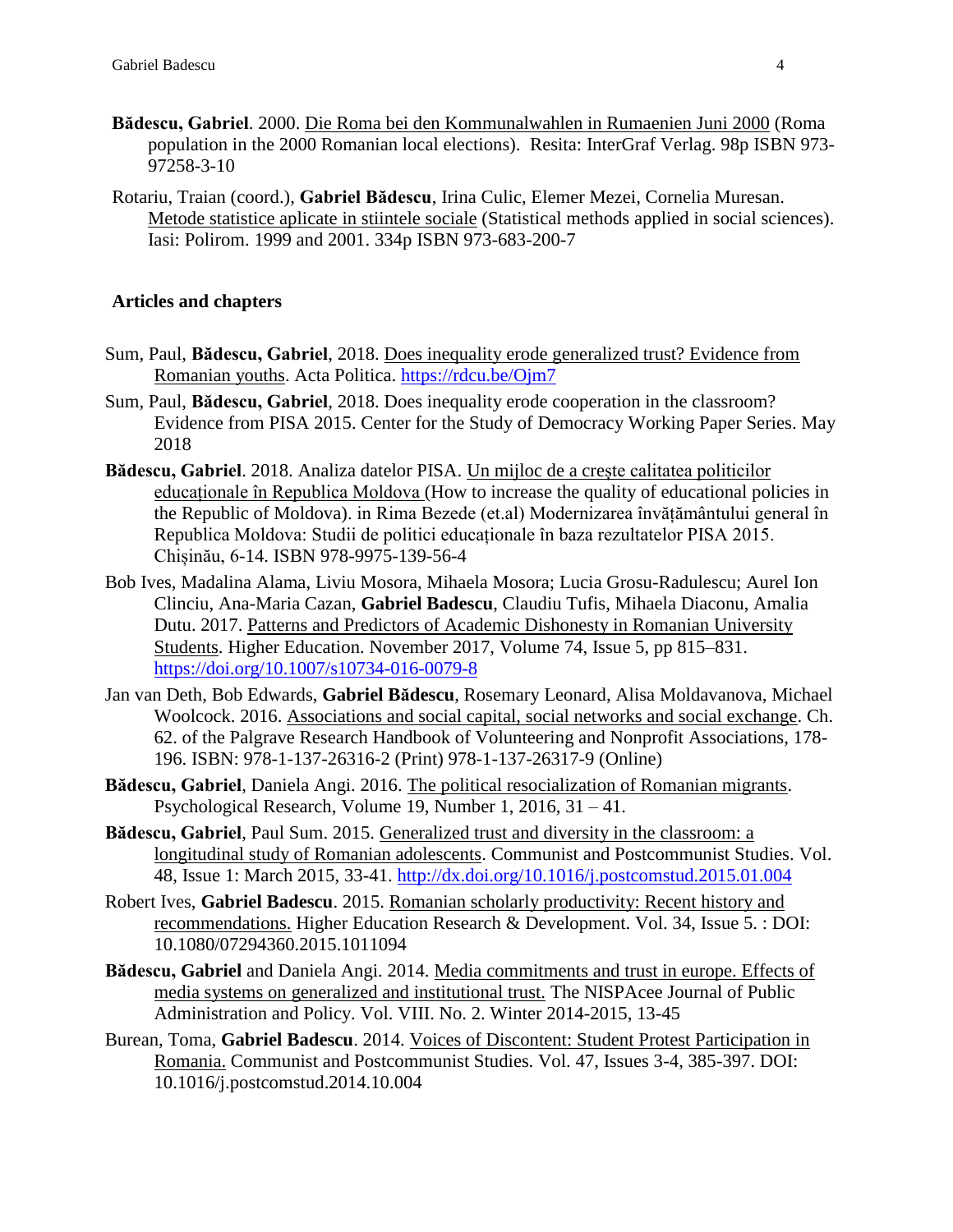- **Bădescu, Gabriel**. 2000. Die Roma bei den Kommunalwahlen in Rumaenien Juni 2000 (Roma population in the 2000 Romanian local elections). Resita: InterGraf Verlag. 98p ISBN 973- 97258-3-10
- Rotariu, Traian (coord.), **Gabriel Bădescu**, Irina Culic, Elemer Mezei, Cornelia Muresan. Metode statistice aplicate in stiintele sociale (Statistical methods applied in social sciences). Iasi: Polirom. 1999 and 2001. 334p ISBN 973-683-200-7

### **Articles and chapters**

- Sum, Paul, **Bădescu, Gabriel**, 2018. Does inequality erode generalized trust? Evidence from Romanian youths. Acta Politica.<https://rdcu.be/Ojm7>
- Sum, Paul, **Bădescu, Gabriel**, 2018. Does inequality erode cooperation in the classroom? Evidence from PISA 2015. Center for the Study of Democracy Working Paper Series. May 2018
- **Bădescu, Gabriel**. 2018. Analiza datelor PISA. Un mijloc de a crește calitatea politicilor educaționale în Republica Moldova (How to increase the quality of educational policies in the Republic of Moldova). in Rima Bezede (et.al) Modernizarea învățământului general în Republica Moldova: Studii de politici educaționale în baza rezultatelor PISA 2015. Chișinău, 6-14. ISBN 978-9975-139-56-4
- Bob Ives, Madalina Alama, Liviu Mosora, Mihaela Mosora; Lucia Grosu-Radulescu; Aurel Ion Clinciu, Ana-Maria Cazan, **Gabriel Badescu**, Claudiu Tufis, Mihaela Diaconu, Amalia Dutu. 2017. Patterns and Predictors of Academic Dishonesty in Romanian University Students. Higher Education. November 2017, Volume 74, Issue 5, pp 815–831. <https://doi.org/10.1007/s10734-016-0079-8>
- Jan van Deth, Bob Edwards, **Gabriel Bădescu**, Rosemary Leonard, Alisa Moldavanova, Michael Woolcock. 2016. Associations and social capital, social networks and social exchange. Ch. 62. of the Palgrave Research Handbook of Volunteering and Nonprofit Associations, 178- 196. ISBN: 978-1-137-26316-2 (Print) 978-1-137-26317-9 (Online)
- **Bădescu, Gabriel**, Daniela Angi. 2016. The political resocialization of Romanian migrants. Psychological Research, Volume 19, Number 1, 2016, 31 – 41.
- **Bădescu, Gabriel**, Paul Sum. 2015. Generalized trust and diversity in the classroom: a longitudinal study of Romanian adolescents. Communist and Postcommunist Studies. Vol. 48, Issue 1: March 2015, 33-41.<http://dx.doi.org/10.1016/j.postcomstud.2015.01.004>
- Robert Ives, **Gabriel Badescu**. 2015. Romanian scholarly productivity: Recent history and recommendations. Higher Education Research & Development. Vol. 34, Issue 5. : DOI: 10.1080/07294360.2015.1011094
- **Bădescu, Gabriel** and Daniela Angi. 2014. Media commitments and trust in europe. Effects of media systems on generalized and institutional trust. The NISPAcee Journal of Public Administration and Policy. Vol. VIII. No. 2. Winter 2014-2015, 13-45
- Burean, Toma, **Gabriel Badescu**. 2014. Voices of Discontent: Student Protest Participation in Romania. Communist and Postcommunist Studies. Vol. 47, Issues 3-4, 385-397. DOI: 10.1016/j.postcomstud.2014.10.004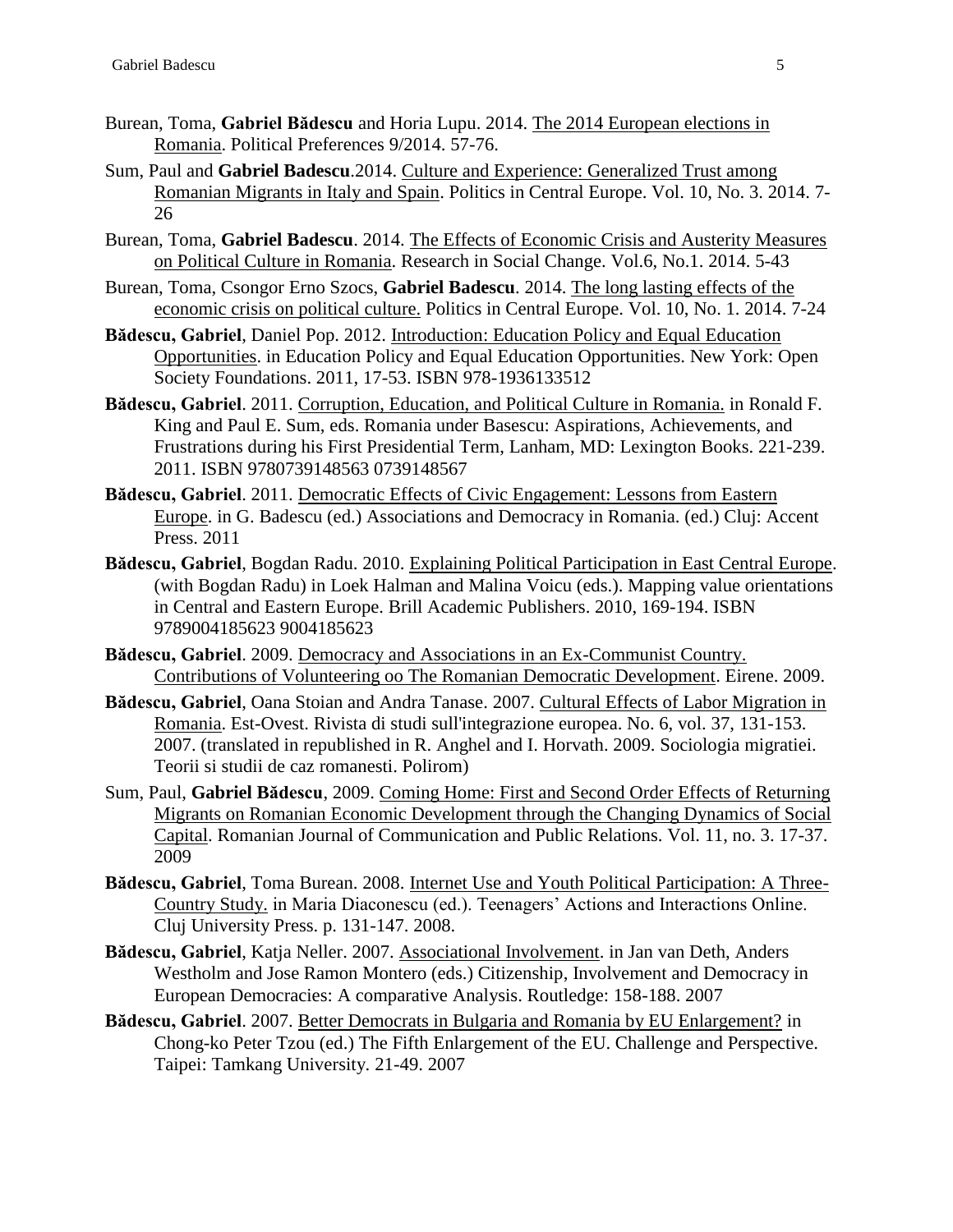- Burean, Toma, **Gabriel Bădescu** and Horia Lupu. 2014. The 2014 European elections in Romania. Political Preferences 9/2014. 57-76.
- Sum, Paul and **Gabriel Badescu**.2014. Culture and Experience: Generalized Trust among Romanian Migrants in Italy and Spain. Politics in Central Europe. Vol. 10, No. 3. 2014. 7- 26
- Burean, Toma, **Gabriel Badescu**. 2014. The Effects of Economic Crisis and Austerity Measures on Political Culture in Romania. Research in Social Change. Vol.6, No.1. 2014. 5-43
- Burean, Toma, Csongor Erno Szocs, **Gabriel Badescu**. 2014. The long lasting effects of the economic crisis on political culture. Politics in Central Europe. Vol. 10, No. 1. 2014. 7-24
- **Bădescu, Gabriel**, Daniel Pop. 2012. Introduction: Education Policy and Equal Education Opportunities. in Education Policy and Equal Education Opportunities. New York: Open Society Foundations. 2011, 17-53. ISBN 978-1936133512
- **Bădescu, Gabriel**. 2011. Corruption, Education, and Political Culture in Romania. in Ronald F. King and Paul E. Sum, eds. Romania under Basescu: Aspirations, Achievements, and Frustrations during his First Presidential Term, Lanham, MD: Lexington Books. 221-239. 2011. ISBN 9780739148563 0739148567
- **Bădescu, Gabriel**. 2011. Democratic Effects of Civic Engagement: Lessons from Eastern Europe. in G. Badescu (ed.) Associations and Democracy in Romania. (ed.) Cluj: Accent Press. 2011
- **Bădescu, Gabriel**, Bogdan Radu. 2010. Explaining Political Participation in East Central Europe. (with Bogdan Radu) in Loek Halman and Malina Voicu (eds.). Mapping value orientations in Central and Eastern Europe. Brill Academic Publishers. 2010, 169-194. ISBN 9789004185623 9004185623
- **Bădescu, Gabriel**. 2009. Democracy and Associations in an Ex-Communist Country. Contributions of Volunteering oo The Romanian Democratic Development. Eirene. 2009.
- **Bădescu, Gabriel**, Oana Stoian and Andra Tanase. 2007. Cultural Effects of Labor Migration in Romania. Est-Ovest. Rivista di studi sull'integrazione europea. No. 6, vol. 37, 131-153. 2007. (translated in republished in R. Anghel and I. Horvath. 2009. Sociologia migratiei. Teorii si studii de caz romanesti. Polirom)
- Sum, Paul, **Gabriel Bădescu**, 2009. Coming Home: First and Second Order Effects of Returning Migrants on Romanian Economic Development through the Changing Dynamics of Social Capital. Romanian Journal of Communication and Public Relations. Vol. 11, no. 3. 17-37. 2009
- **Bădescu, Gabriel**, Toma Burean. 2008. Internet Use and Youth Political Participation: A Three-Country Study. in Maria Diaconescu (ed.). Teenagers' Actions and Interactions Online. Cluj University Press. p. 131-147. 2008.
- **Bădescu, Gabriel**, Katja Neller. 2007. Associational Involvement. in Jan van Deth, Anders Westholm and Jose Ramon Montero (eds.) Citizenship, Involvement and Democracy in European Democracies: A comparative Analysis. Routledge: 158-188. 2007
- **Bădescu, Gabriel**. 2007. Better Democrats in Bulgaria and Romania by EU Enlargement? in Chong-ko Peter Tzou (ed.) The Fifth Enlargement of the EU. Challenge and Perspective. Taipei: Tamkang University. 21-49. 2007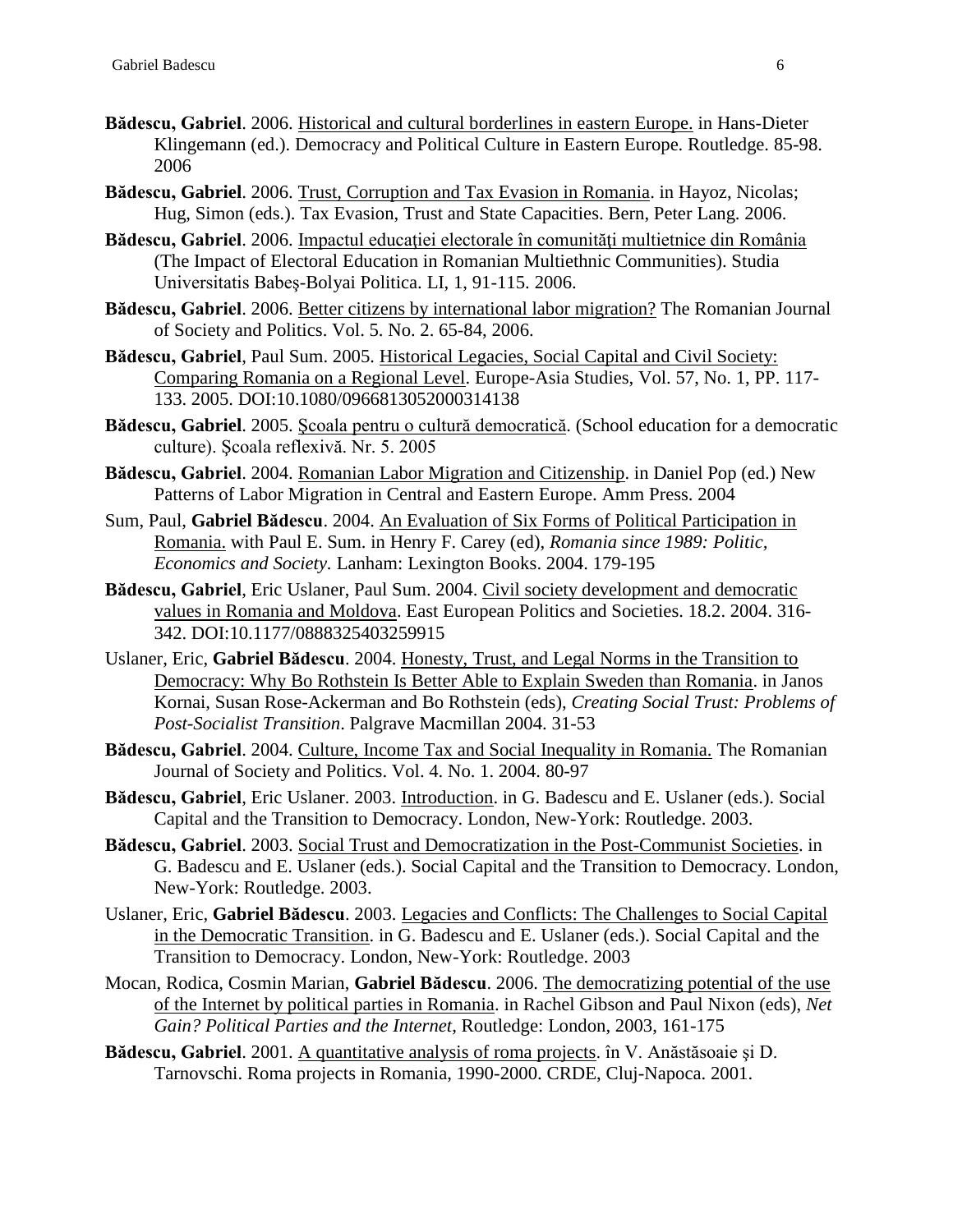- **Bădescu, Gabriel**. 2006. Historical and cultural borderlines in eastern Europe. in Hans-Dieter Klingemann (ed.). Democracy and Political Culture in Eastern Europe. Routledge. 85-98. 2006
- **Bădescu, Gabriel**. 2006. Trust, Corruption and Tax Evasion in Romania. in Hayoz, Nicolas; Hug, Simon (eds.). Tax Evasion, Trust and State Capacities. Bern, Peter Lang. 2006.
- Bădescu, Gabriel. 2006. Impactul educației electorale în comunități multietnice din România (The Impact of Electoral Education in Romanian Multiethnic Communities). Studia Universitatis Babeş-Bolyai Politica. LI, 1, 91-115. 2006.
- **Bădescu, Gabriel**. 2006. Better citizens by international labor migration? The Romanian Journal of Society and Politics. Vol. 5. No. 2. 65-84, 2006.
- **Bădescu, Gabriel**, Paul Sum. 2005. Historical Legacies, Social Capital and Civil Society: Comparing Romania on a Regional Level. Europe-Asia Studies, Vol. 57, No. 1, PP. 117- 133. 2005. DOI:10.1080/0966813052000314138
- **Bădescu, Gabriel**. 2005. Şcoala pentru o cultură democratică. (School education for a democratic culture). Şcoala reflexivă. Nr. 5. 2005
- **Bădescu, Gabriel**. 2004. Romanian Labor Migration and Citizenship. in Daniel Pop (ed.) New Patterns of Labor Migration in Central and Eastern Europe. Amm Press. 2004
- Sum, Paul, **Gabriel Bădescu**. 2004. An Evaluation of Six Forms of Political Participation in Romania. with Paul E. Sum. in Henry F. Carey (ed), *Romania since 1989: Politic, Economics and Society.* Lanham: Lexington Books. 2004. 179-195
- **Bădescu, Gabriel**, Eric Uslaner, Paul Sum. 2004. Civil society development and democratic values in Romania and Moldova. East European Politics and Societies. 18.2. 2004. 316- 342. DOI:10.1177/0888325403259915
- Uslaner, Eric, **Gabriel Bădescu**. 2004. Honesty, Trust, and Legal Norms in the Transition to Democracy: Why Bo Rothstein Is Better Able to Explain Sweden than Romania. in Janos Kornai, Susan Rose-Ackerman and Bo Rothstein (eds), *Creating Social Trust: Problems of Post-Socialist Transition*. Palgrave Macmillan 2004. 31-53
- **Bădescu, Gabriel**. 2004. Culture, Income Tax and Social Inequality in Romania. The Romanian Journal of Society and Politics. Vol. 4. No. 1. 2004. 80-97
- **Bădescu, Gabriel**, Eric Uslaner. 2003. Introduction. in G. Badescu and E. Uslaner (eds.). Social Capital and the Transition to Democracy. London, New-York: Routledge. 2003.
- **Bădescu, Gabriel**. 2003. Social Trust and Democratization in the Post-Communist Societies. in G. Badescu and E. Uslaner (eds.). Social Capital and the Transition to Democracy. London, New-York: Routledge. 2003.
- Uslaner, Eric, **Gabriel Bădescu**. 2003. Legacies and Conflicts: The Challenges to Social Capital in the Democratic Transition. in G. Badescu and E. Uslaner (eds.). Social Capital and the Transition to Democracy. London, New-York: Routledge. 2003
- Mocan, Rodica, Cosmin Marian, **Gabriel Bădescu**. 2006. The democratizing potential of the use of the Internet by political parties in Romania. in Rachel Gibson and Paul Nixon (eds), *Net Gain? Political Parties and the Internet*, Routledge: London, 2003, 161-175
- **Bădescu, Gabriel**. 2001. A quantitative analysis of roma projects. în V. Anăstăsoaie şi D. Tarnovschi. Roma projects in Romania, 1990-2000. CRDE, Cluj-Napoca. 2001.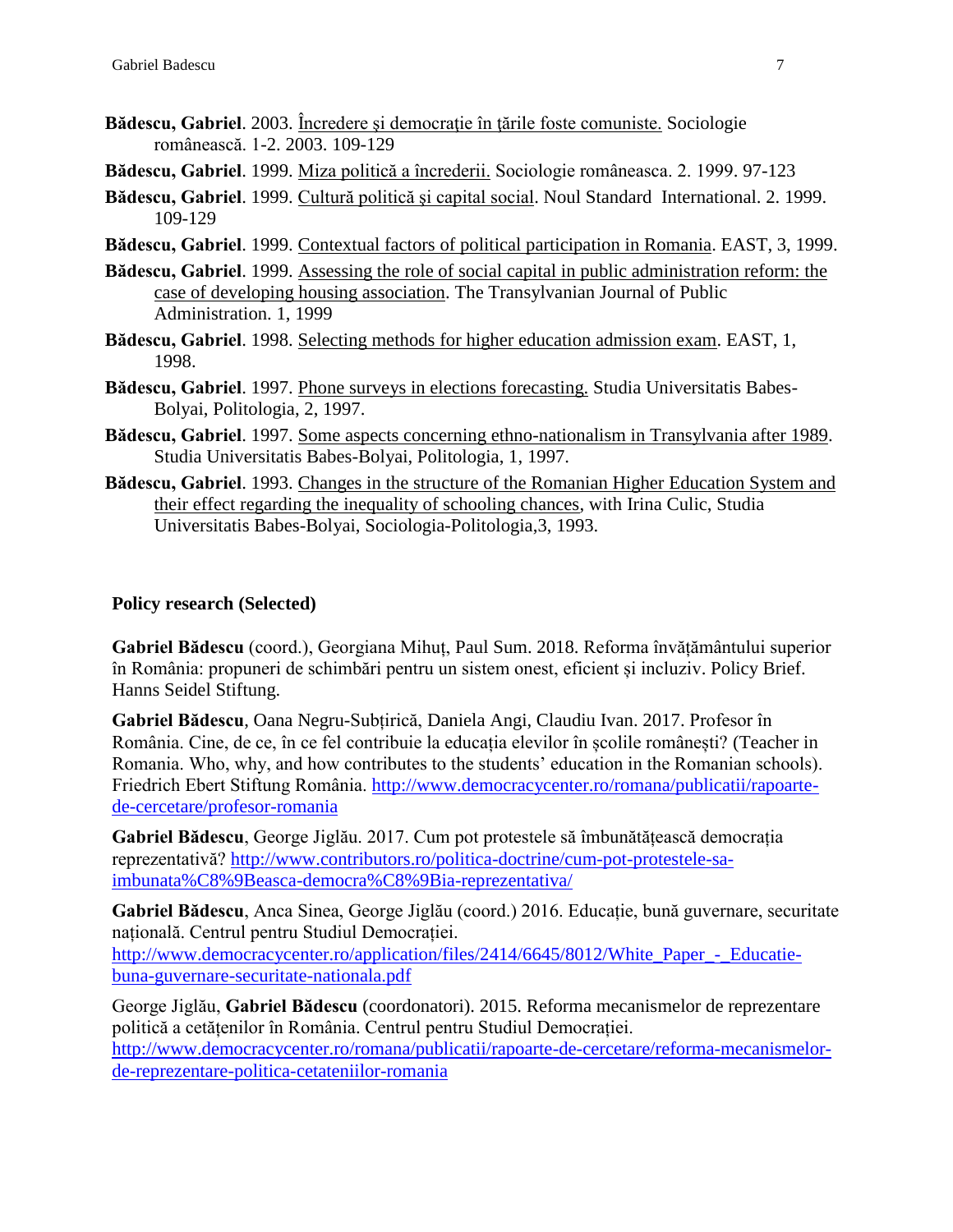- Bădescu, Gabriel. 2003. Încredere și democrație în țările foste comuniste. Sociologie românească. 1-2. 2003. 109-129
- **Bădescu, Gabriel**. 1999. Miza politică a încrederii. Sociologie româneasca. 2. 1999. 97-123
- **Bădescu, Gabriel**. 1999. Cultură politică şi capital social. Noul Standard International. 2. 1999. 109-129
- **Bădescu, Gabriel**. 1999. Contextual factors of political participation in Romania. EAST, 3, 1999.
- **Bădescu, Gabriel**. 1999. Assessing the role of social capital in public administration reform: the case of developing housing association. The Transylvanian Journal of Public Administration. 1, 1999
- **Bădescu, Gabriel**. 1998. Selecting methods for higher education admission exam. EAST, 1, 1998.
- **Bădescu, Gabriel**. 1997. Phone surveys in elections forecasting. Studia Universitatis Babes-Bolyai, Politologia, 2, 1997.
- **Bădescu, Gabriel**. 1997. Some aspects concerning ethno-nationalism in Transylvania after 1989. Studia Universitatis Babes-Bolyai, Politologia, 1, 1997.
- **Bădescu, Gabriel**. 1993. Changes in the structure of the Romanian Higher Education System and their effect regarding the inequality of schooling chances, with Irina Culic, Studia Universitatis Babes-Bolyai, Sociologia-Politologia,3, 1993.

#### **Policy research (Selected)**

**Gabriel Bădescu** (coord.), Georgiana Mihuț, Paul Sum. 2018. Reforma învățământului superior în România: propuneri de schimbări pentru un sistem onest, eficient și incluziv. Policy Brief. Hanns Seidel Stiftung.

**Gabriel Bădescu**, Oana Negru-Subțirică, Daniela Angi, Claudiu Ivan. 2017. Profesor în România. Cine, de ce, în ce fel contribuie la educația elevilor în școlile românești? (Teacher in Romania. Who, why, and how contributes to the students' education in the Romanian schools). Friedrich Ebert Stiftung România. [http://www.democracycenter.ro/romana/publicatii/rapoarte](http://www.democracycenter.ro/romana/publicatii/rapoarte-de-cercetare/profesor-romania)[de-cercetare/profesor-romania](http://www.democracycenter.ro/romana/publicatii/rapoarte-de-cercetare/profesor-romania)

**Gabriel Bădescu**, George Jiglău. 2017. Cum pot protestele să îmbunătățească democrația reprezentativă? [http://www.contributors.ro/politica-doctrine/cum-pot-protestele-sa](http://www.contributors.ro/politica-doctrine/cum-pot-protestele-sa-imbunata%C8%9Beasca-democra%C8%9Bia-reprezentativa/)[imbunata%C8%9Beasca-democra%C8%9Bia-reprezentativa/](http://www.contributors.ro/politica-doctrine/cum-pot-protestele-sa-imbunata%C8%9Beasca-democra%C8%9Bia-reprezentativa/)

**Gabriel Bădescu**, Anca Sinea, George Jiglău (coord.) 2016. Educație, bună guvernare, securitate națională. Centrul pentru Studiul Democrației.

http://www.democracycenter.ro/application/files/2414/6645/8012/White Paper - Educatie[buna-guvernare-securitate-nationala.pdf](http://www.democracycenter.ro/application/files/2414/6645/8012/White_Paper_-_Educatie-buna-guvernare-securitate-nationala.pdf)

George Jiglău, **Gabriel Bădescu** (coordonatori). 2015. Reforma mecanismelor de reprezentare politică a cetățenilor în România. Centrul pentru Studiul Democrației. [http://www.democracycenter.ro/romana/publicatii/rapoarte-de-cercetare/reforma-mecanismelor](http://www.democracycenter.ro/romana/publicatii/rapoarte-de-cercetare/reforma-mecanismelor-de-reprezentare-politica-cetateniilor-romania)[de-reprezentare-politica-cetateniilor-romania](http://www.democracycenter.ro/romana/publicatii/rapoarte-de-cercetare/reforma-mecanismelor-de-reprezentare-politica-cetateniilor-romania)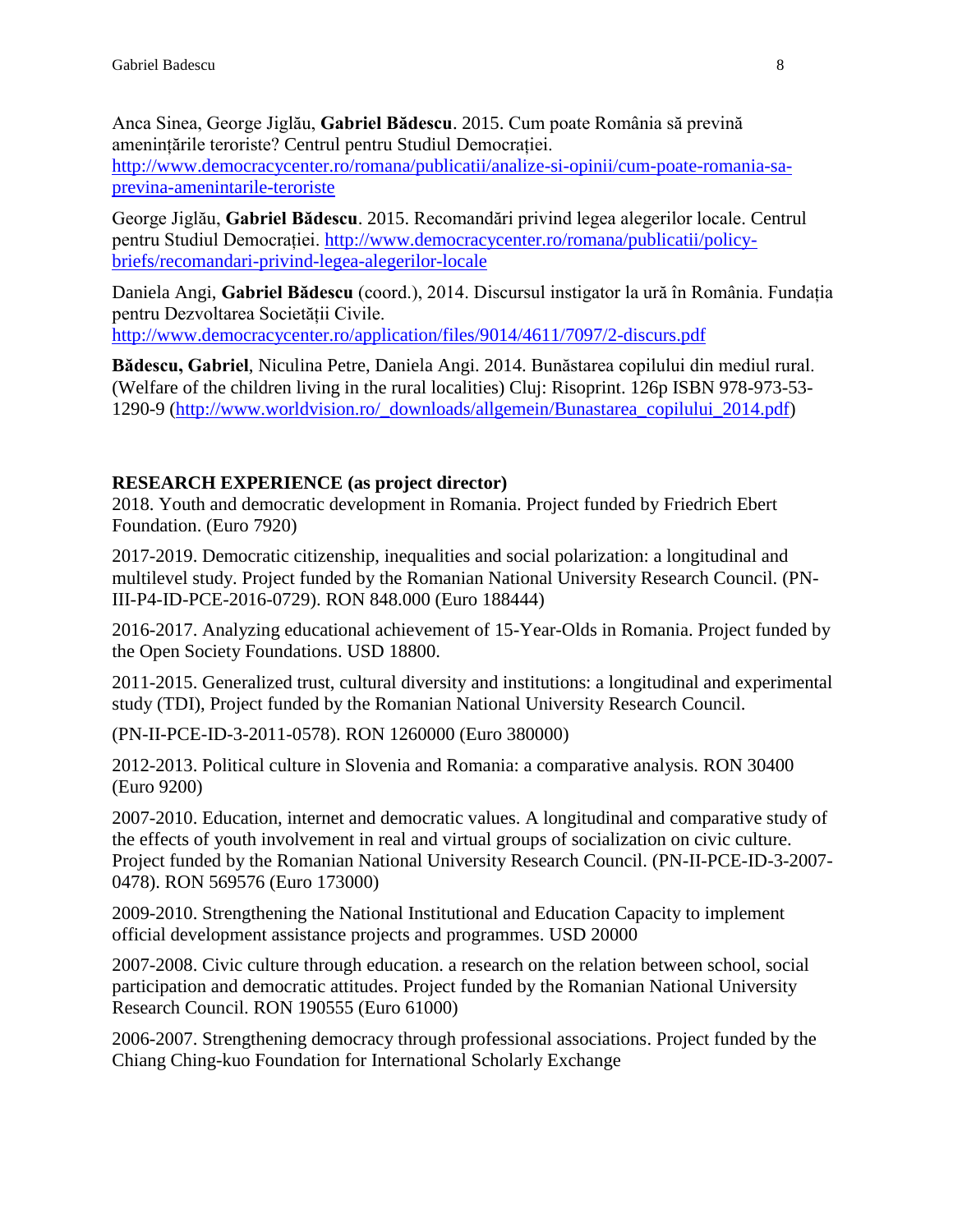Anca Sinea, George Jiglău, **Gabriel Bădescu**. 2015. Cum poate România să prevină amenințările teroriste? Centrul pentru Studiul Democrației. [http://www.democracycenter.ro/romana/publicatii/analize-si-opinii/cum-poate-romania-sa](http://www.democracycenter.ro/romana/publicatii/analize-si-opinii/cum-poate-romania-sa-previna-amenintarile-teroriste)[previna-amenintarile-teroriste](http://www.democracycenter.ro/romana/publicatii/analize-si-opinii/cum-poate-romania-sa-previna-amenintarile-teroriste)

George Jiglău, **Gabriel Bădescu**. 2015. Recomandări privind legea alegerilor locale. Centrul pentru Studiul Democrației. [http://www.democracycenter.ro/romana/publicatii/policy](http://www.democracycenter.ro/romana/publicatii/policy-briefs/recomandari-privind-legea-alegerilor-locale)[briefs/recomandari-privind-legea-alegerilor-locale](http://www.democracycenter.ro/romana/publicatii/policy-briefs/recomandari-privind-legea-alegerilor-locale)

Daniela Angi, **Gabriel Bădescu** (coord.), 2014. Discursul instigator la ură în România. Fundația pentru Dezvoltarea Societății Civile.

<http://www.democracycenter.ro/application/files/9014/4611/7097/2-discurs.pdf>

**Bădescu, Gabriel**, Niculina Petre, Daniela Angi. 2014. Bunăstarea copilului din mediul rural. (Welfare of the children living in the rural localities) Cluj: Risoprint. 126p ISBN 978-973-53- 1290-9 [\(http://www.worldvision.ro/\\_downloads/allgemein/Bunastarea\\_copilului\\_2014.pdf\)](http://www.worldvision.ro/_downloads/allgemein/Bunastarea_copilului_2014.pdf)

#### **RESEARCH EXPERIENCE (as project director)**

2018. Youth and democratic development in Romania. Project funded by Friedrich Ebert Foundation. (Euro 7920)

2017-2019. Democratic citizenship, inequalities and social polarization: a longitudinal and multilevel study. Project funded by the Romanian National University Research Council. (PN-III-P4-ID-PCE-2016-0729). RON 848.000 (Euro 188444)

2016-2017. Analyzing educational achievement of 15-Year-Olds in Romania. Project funded by the Open Society Foundations. USD 18800.

2011-2015. Generalized trust, cultural diversity and institutions: a longitudinal and experimental study (TDI), Project funded by the Romanian National University Research Council.

(PN-II-PCE-ID-3-2011-0578). RON 1260000 (Euro 380000)

2012-2013. Political culture in Slovenia and Romania: a comparative analysis. RON 30400 (Euro 9200)

2007-2010. Education, internet and democratic values. A longitudinal and comparative study of the effects of youth involvement in real and virtual groups of socialization on civic culture. Project funded by the Romanian National University Research Council. (PN-II-PCE-ID-3-2007- 0478). RON 569576 (Euro 173000)

2009-2010. Strengthening the National Institutional and Education Capacity to implement official development assistance projects and programmes. USD 20000

2007-2008. Civic culture through education. a research on the relation between school, social participation and democratic attitudes. Project funded by the Romanian National University Research Council. RON 190555 (Euro 61000)

2006-2007. Strengthening democracy through professional associations. Project funded by the Chiang Ching-kuo Foundation for International Scholarly Exchange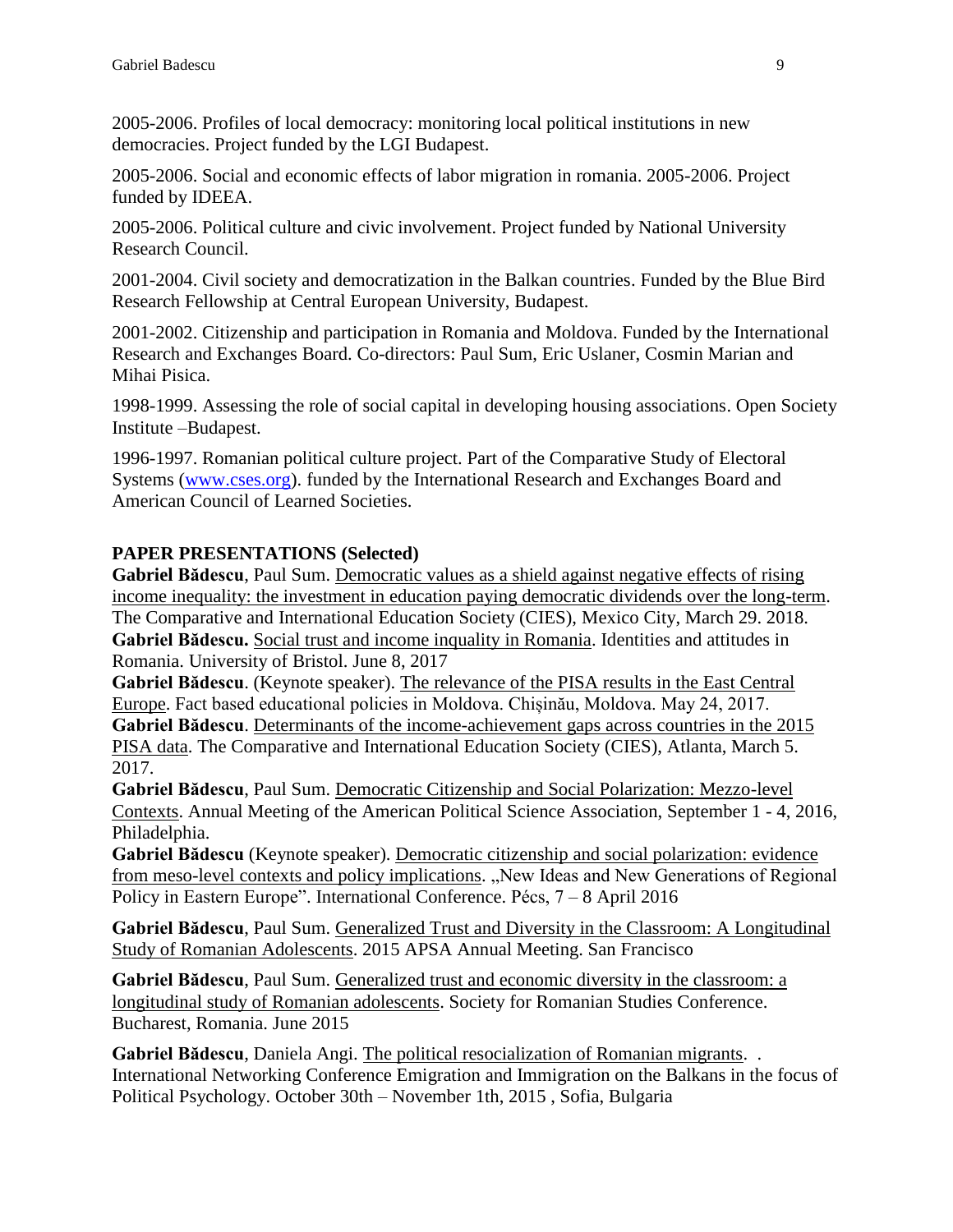2005-2006. Profiles of local democracy: monitoring local political institutions in new democracies. Project funded by the LGI Budapest.

2005-2006. Social and economic effects of labor migration in romania. 2005-2006. Project funded by IDEEA.

2005-2006. Political culture and civic involvement. Project funded by National University Research Council.

2001-2004. Civil society and democratization in the Balkan countries. Funded by the Blue Bird Research Fellowship at Central European University, Budapest.

2001-2002. Citizenship and participation in Romania and Moldova. Funded by the International Research and Exchanges Board. Co-directors: Paul Sum, Eric Uslaner, Cosmin Marian and Mihai Pisica.

1998-1999. Assessing the role of social capital in developing housing associations. Open Society Institute –Budapest.

1996-1997. Romanian political culture project. Part of the Comparative Study of Electoral Systems [\(www.cses.org\)](http://www.cses.org/). funded by the International Research and Exchanges Board and American Council of Learned Societies.

### **PAPER PRESENTATIONS (Selected)**

**Gabriel Bădescu**, Paul Sum. Democratic values as a shield against negative effects of rising income inequality: the investment in education paying democratic dividends over the long-term. The Comparative and International Education Society (CIES), Mexico City, March 29. 2018. **Gabriel Bădescu.** Social trust and income inquality in Romania. Identities and attitudes in Romania. University of Bristol. June 8, 2017

**Gabriel Bădescu**. (Keynote speaker). The relevance of the PISA results in the East Central Europe. Fact based educational policies in Moldova. Chișinău, Moldova. May 24, 2017. **Gabriel Bădescu**. Determinants of the income-achievement gaps across countries in the 2015 PISA data. The Comparative and International Education Society (CIES), Atlanta, March 5. 2017.

**Gabriel Bădescu**, Paul Sum. Democratic Citizenship and Social Polarization: Mezzo-level Contexts. Annual Meeting of the American Political Science Association, September 1 - 4, 2016, Philadelphia.

**Gabriel Bădescu** (Keynote speaker). Democratic citizenship and social polarization: evidence from meso-level contexts and policy implications. "New Ideas and New Generations of Regional Policy in Eastern Europe". International Conference. Pécs, 7 – 8 April 2016

**Gabriel Bădescu**, Paul Sum. Generalized Trust and Diversity in the Classroom: A Longitudinal Study of Romanian Adolescents. 2015 APSA Annual Meeting. San Francisco

**Gabriel Bădescu**, Paul Sum. Generalized trust and economic diversity in the classroom: a longitudinal study of Romanian adolescents. Society for Romanian Studies Conference. Bucharest, Romania. June 2015

**Gabriel Bădescu**, Daniela Angi. The political resocialization of Romanian migrants. . International Networking Conference Emigration and Immigration on the Balkans in the focus of Political Psychology. October 30th – November 1th, 2015 , Sofia, Bulgaria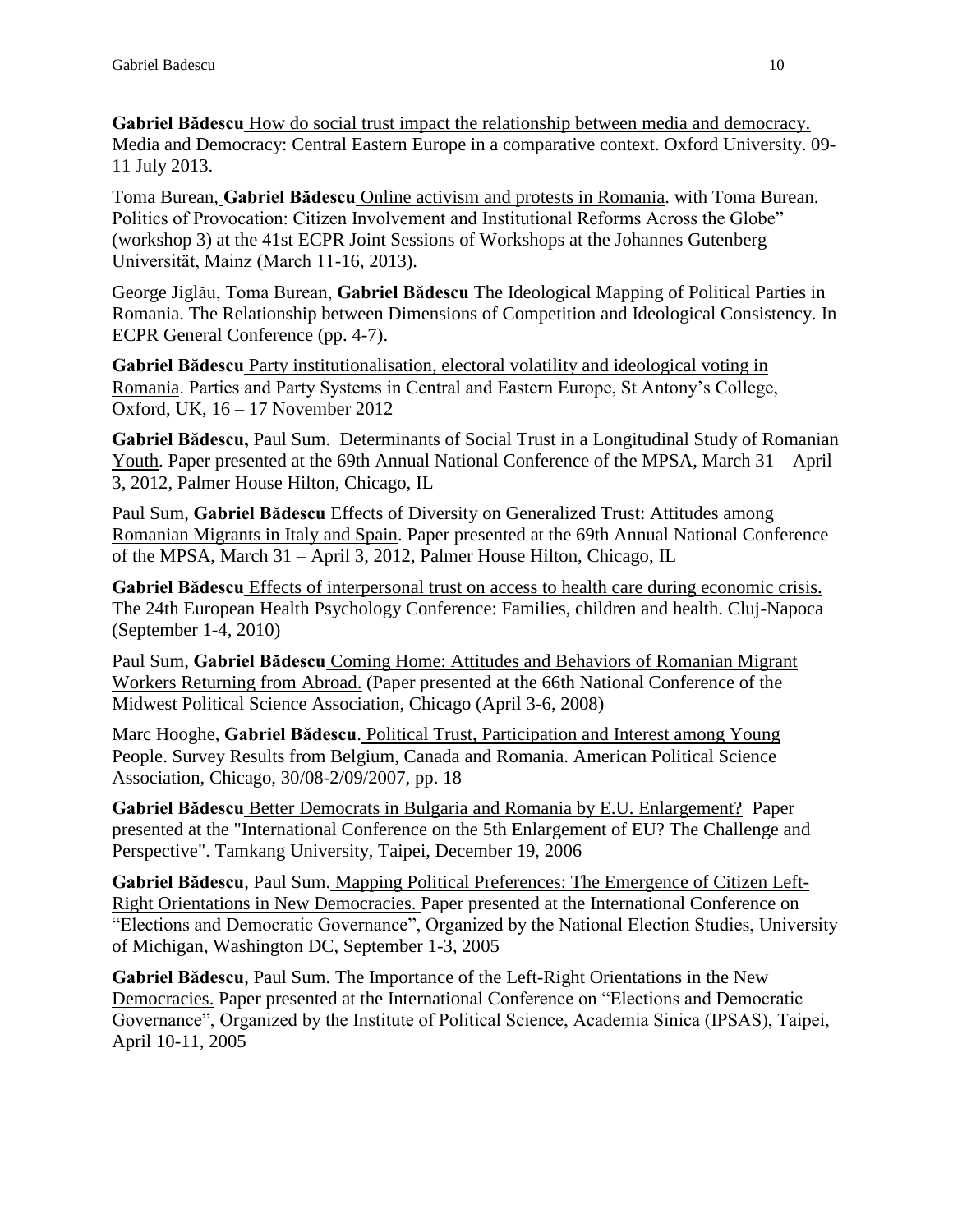**Gabriel Bădescu** How do social trust impact the relationship between media and democracy. Media and Democracy: Central Eastern Europe in a comparative context. Oxford University. 09- 11 July 2013.

Toma Burean, **Gabriel Bădescu** Online activism and protests in Romania. with Toma Burean. Politics of Provocation: Citizen Involvement and Institutional Reforms Across the Globe" (workshop 3) at the 41st ECPR Joint Sessions of Workshops at the Johannes Gutenberg Universität, Mainz (March 11-16, 2013).

George Jiglău, Toma Burean, **Gabriel Bădescu** The Ideological Mapping of Political Parties in Romania. The Relationship between Dimensions of Competition and Ideological Consistency. In ECPR General Conference (pp. 4-7).

**Gabriel Bădescu** Party institutionalisation, electoral volatility and ideological voting in Romania. Parties and Party Systems in Central and Eastern Europe, St Antony's College, Oxford, UK, 16 – 17 November 2012

**Gabriel Bădescu,** Paul Sum. Determinants of Social Trust in a Longitudinal Study of Romanian Youth. Paper presented at the 69th Annual National Conference of the MPSA, March 31 – April 3, 2012, Palmer House Hilton, Chicago, IL

Paul Sum, **Gabriel Bădescu** Effects of Diversity on Generalized Trust: Attitudes among Romanian Migrants in Italy and Spain. Paper presented at the 69th Annual National Conference of the MPSA, March 31 – April 3, 2012, Palmer House Hilton, Chicago, IL

**Gabriel Bădescu** Effects of interpersonal trust on access to health care during economic crisis. The 24th European Health Psychology Conference: Families, children and health. Cluj-Napoca (September 1-4, 2010)

Paul Sum, **Gabriel Bădescu** Coming Home: Attitudes and Behaviors of Romanian Migrant Workers Returning from Abroad. (Paper presented at the 66th National Conference of the Midwest Political Science Association, Chicago (April 3-6, 2008)

Marc Hooghe, **Gabriel Bădescu**. Political Trust, Participation and Interest among Young People. Survey Results from Belgium, Canada and Romania. American Political Science Association, Chicago, 30/08-2/09/2007, pp. 18

**Gabriel Bădescu** Better Democrats in Bulgaria and Romania by E.U. Enlargement? Paper presented at the "International Conference on the 5th Enlargement of EU? The Challenge and Perspective". Tamkang University, Taipei, December 19, 2006

**Gabriel Bădescu**, Paul Sum. Mapping Political Preferences: The Emergence of Citizen Left-Right Orientations in New Democracies. Paper presented at the International Conference on "Elections and Democratic Governance", Organized by the National Election Studies, University of Michigan, Washington DC, September 1-3, 2005

**Gabriel Bădescu**, Paul Sum. The Importance of the Left-Right Orientations in the New Democracies. Paper presented at the International Conference on "Elections and Democratic Governance", Organized by the Institute of Political Science, Academia Sinica (IPSAS), Taipei, April 10-11, 2005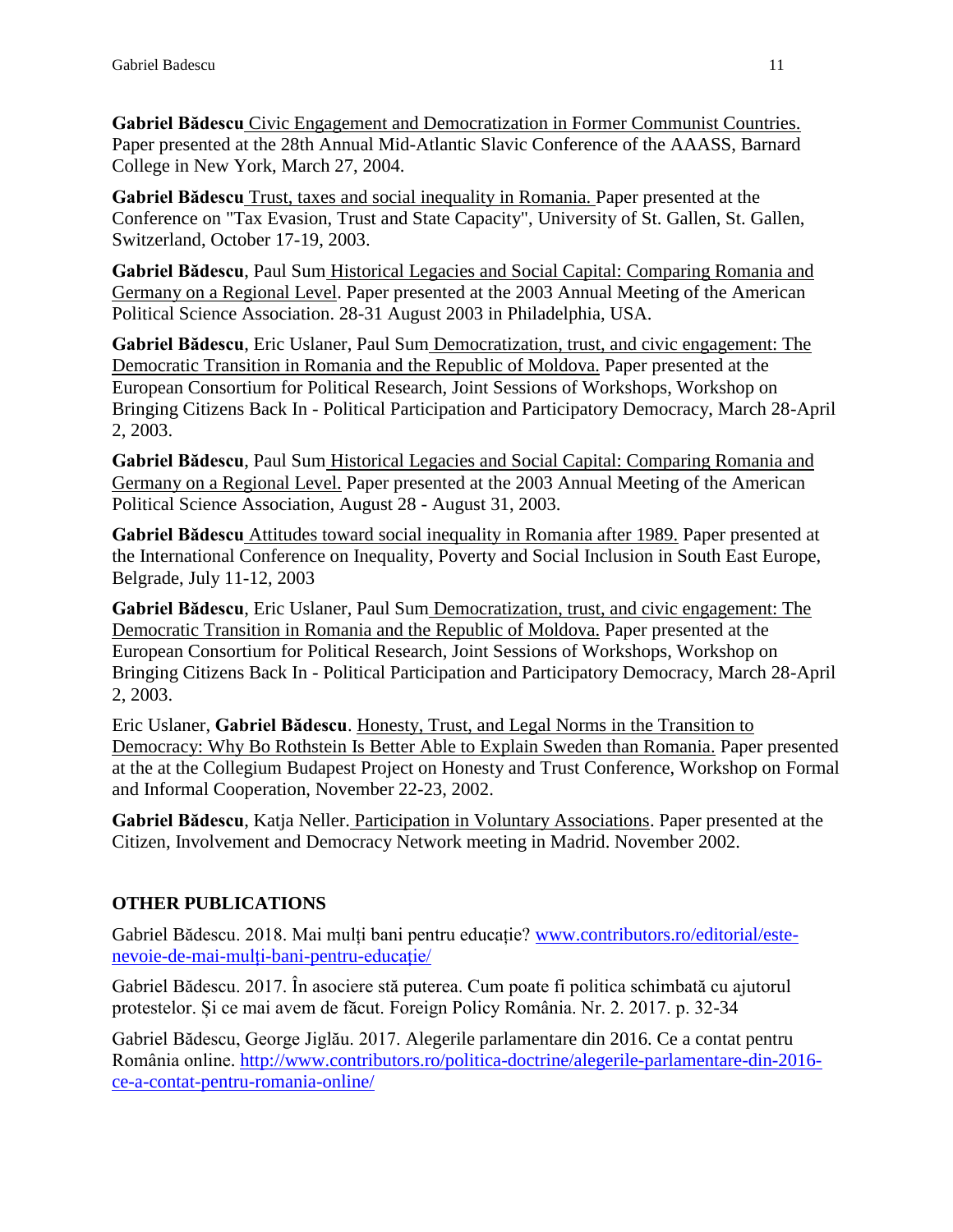**Gabriel Bădescu** Civic Engagement and Democratization in Former Communist Countries. Paper presented at the 28th Annual Mid-Atlantic Slavic Conference of the AAASS, Barnard College in New York, March 27, 2004.

**Gabriel Bădescu** Trust, taxes and social inequality in Romania. Paper presented at the Conference on "Tax Evasion, Trust and State Capacity", University of St. Gallen, St. Gallen, Switzerland, October 17-19, 2003.

**Gabriel Bădescu**, Paul Sum Historical Legacies and Social Capital: Comparing Romania and Germany on a Regional Level. Paper presented at the 2003 Annual Meeting of the American Political Science Association. 28-31 August 2003 in Philadelphia, USA.

**Gabriel Bădescu**, Eric Uslaner, Paul Sum Democratization, trust, and civic engagement: The Democratic Transition in Romania and the Republic of Moldova. Paper presented at the European Consortium for Political Research, Joint Sessions of Workshops, Workshop on Bringing Citizens Back In - Political Participation and Participatory Democracy, March 28-April 2, 2003.

**Gabriel Bădescu**, Paul Sum Historical Legacies and Social Capital: Comparing Romania and Germany on a Regional Level. Paper presented at the 2003 Annual Meeting of the American Political Science Association, August 28 - August 31, 2003.

**Gabriel Bădescu** Attitudes toward social inequality in Romania after 1989. Paper presented at the International Conference on Inequality, Poverty and Social Inclusion in South East Europe, Belgrade, July 11-12, 2003

**Gabriel Bădescu**, Eric Uslaner, Paul Sum Democratization, trust, and civic engagement: The Democratic Transition in Romania and the Republic of Moldova. Paper presented at the European Consortium for Political Research, Joint Sessions of Workshops, Workshop on Bringing Citizens Back In - Political Participation and Participatory Democracy, March 28-April 2, 2003.

Eric Uslaner, **Gabriel Bădescu**. Honesty, Trust, and Legal Norms in the Transition to Democracy: Why Bo Rothstein Is Better Able to Explain Sweden than Romania. Paper presented at the at the Collegium Budapest Project on Honesty and Trust Conference, Workshop on Formal and Informal Cooperation, November 22-23, 2002.

**Gabriel Bădescu**, Katja Neller. Participation in Voluntary Associations. Paper presented at the Citizen, Involvement and Democracy Network meeting in Madrid. November 2002.

# **OTHER PUBLICATIONS**

Gabriel Bădescu. 2018. Mai mulți bani pentru educație? [www.contributors.ro/editorial/este](http://www.contributors.ro/editorial/este-nevoie-de-mai-mulți-bani-pentru-educație/)[nevoie-de-mai-mulți-bani-pentru-educație/](http://www.contributors.ro/editorial/este-nevoie-de-mai-mulți-bani-pentru-educație/) 

Gabriel Bădescu. 2017. În asociere stă puterea. Cum poate fi politica schimbată cu ajutorul protestelor. Și ce mai avem de făcut. Foreign Policy România. Nr. 2. 2017. p. 32-34

Gabriel Bădescu, George Jiglău. 2017. Alegerile parlamentare din 2016. Ce a contat pentru România online. [http://www.contributors.ro/politica-doctrine/alegerile-parlamentare-din-2016](http://www.contributors.ro/politica-doctrine/alegerile-parlamentare-din-2016-ce-a-contat-pentru-romania-online/) [ce-a-contat-pentru-romania-online/](http://www.contributors.ro/politica-doctrine/alegerile-parlamentare-din-2016-ce-a-contat-pentru-romania-online/)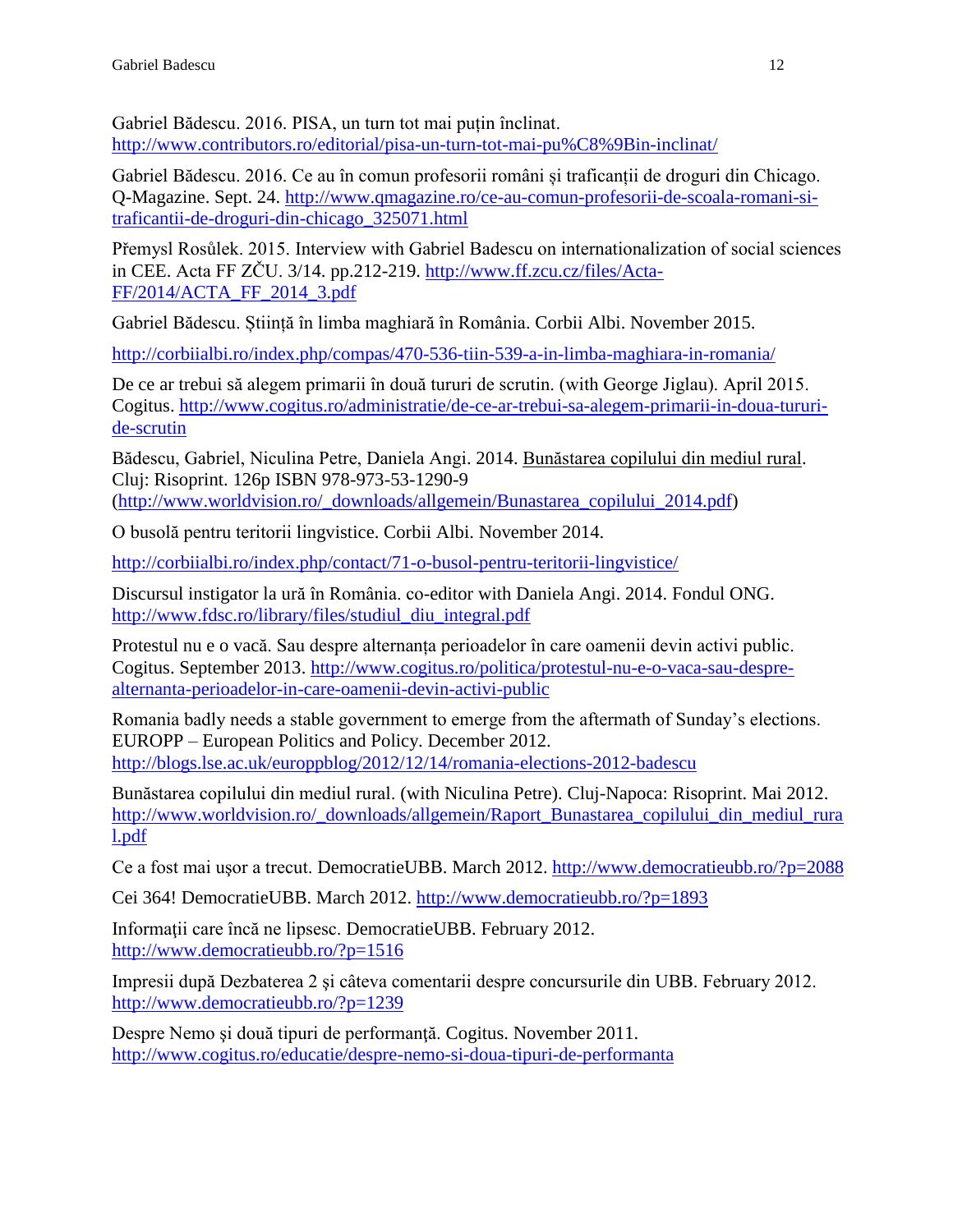Gabriel Bădescu. 2016. PISA, un turn tot mai puțin înclinat. <http://www.contributors.ro/editorial/pisa-un-turn-tot-mai-pu%C8%9Bin-inclinat/>

Gabriel Bădescu. 2016. Ce au în comun profesorii români și traficanții de droguri din Chicago. Q-Magazine. Sept. 24. [http://www.qmagazine.ro/ce-au-comun-profesorii-de-scoala-romani-si](http://www.qmagazine.ro/ce-au-comun-profesorii-de-scoala-romani-si-traficantii-de-droguri-din-chicago_325071.html)[traficantii-de-droguri-din-chicago\\_325071.html](http://www.qmagazine.ro/ce-au-comun-profesorii-de-scoala-romani-si-traficantii-de-droguri-din-chicago_325071.html)

Přemysl Rosůlek. 2015. Interview with Gabriel Badescu on internationalization of social sciences in CEE. Acta FF ZČU. 3/14. pp.212-219. [http://www.ff.zcu.cz/files/Acta-](http://www.ff.zcu.cz/files/Acta-FF/2014/ACTA_FF_2014_3.pdf)[FF/2014/ACTA\\_FF\\_2014\\_3.pdf](http://www.ff.zcu.cz/files/Acta-FF/2014/ACTA_FF_2014_3.pdf)

Gabriel Bădescu. Știință în limba maghiară în România. Corbii Albi. November 2015.

<http://corbiialbi.ro/index.php/compas/470-536-tiin-539-a-in-limba-maghiara-in-romania/>

De ce ar trebui să alegem primarii în două tururi de scrutin. (with George Jiglau). April 2015. Cogitus. [http://www.cogitus.ro/administratie/de-ce-ar-trebui-sa-alegem-primarii-in-doua-tururi](http://www.cogitus.ro/administratie/de-ce-ar-trebui-sa-alegem-primarii-in-doua-tururi-de-scrutin)[de-scrutin](http://www.cogitus.ro/administratie/de-ce-ar-trebui-sa-alegem-primarii-in-doua-tururi-de-scrutin)

Bădescu, Gabriel, Niculina Petre, Daniela Angi. 2014. Bunăstarea copilului din mediul rural. Cluj: Risoprint. 126p ISBN 978-973-53-1290-9

[\(http://www.worldvision.ro/\\_downloads/allgemein/Bunastarea\\_copilului\\_2014.pdf\)](http://www.worldvision.ro/_downloads/allgemein/Bunastarea_copilului_2014.pdf)

O busolă pentru teritorii lingvistice. Corbii Albi. November 2014.

<http://corbiialbi.ro/index.php/contact/71-o-busol-pentru-teritorii-lingvistice/>

Discursul instigator la ură în România. co-editor with Daniela Angi. 2014. Fondul ONG. [http://www.fdsc.ro/library/files/studiul\\_diu\\_integral.pdf](http://www.fdsc.ro/library/files/studiul_diu_integral.pdf)

Protestul nu e o vacă. Sau despre alternanța perioadelor în care oamenii devin activi public. Cogitus. September 2013. [http://www.cogitus.ro/politica/protestul-nu-e-o-vaca-sau-despre](http://www.cogitus.ro/politica/protestul-nu-e-o-vaca-sau-despre-alternanta-perioadelor-in-care-oamenii-devin-activi-public)[alternanta-perioadelor-in-care-oamenii-devin-activi-public](http://www.cogitus.ro/politica/protestul-nu-e-o-vaca-sau-despre-alternanta-perioadelor-in-care-oamenii-devin-activi-public)

Romania badly needs a stable government to emerge from the aftermath of Sunday's elections. EUROPP – European Politics and Policy. December 2012. <http://blogs.lse.ac.uk/europpblog/2012/12/14/romania-elections-2012-badescu>

Bunăstarea copilului din mediul rural. (with Niculina Petre). Cluj-Napoca: Risoprint. Mai 2012. [http://www.worldvision.ro/\\_downloads/allgemein/Raport\\_Bunastarea\\_copilului\\_din\\_mediul\\_rura](http://www.worldvision.ro/_downloads/allgemein/Raport_Bunastarea_copilului_din_mediul_rural.pdf) [l.pdf](http://www.worldvision.ro/_downloads/allgemein/Raport_Bunastarea_copilului_din_mediul_rural.pdf)

Ce a fost mai uşor a trecut. DemocratieUBB. March 2012.<http://www.democratieubb.ro/?p=2088>

Cei 364! DemocratieUBB. March 2012.<http://www.democratieubb.ro/?p=1893>

Informaţii care încă ne lipsesc. DemocratieUBB. February 2012. <http://www.democratieubb.ro/?p=1516>

Impresii după Dezbaterea 2 şi câteva comentarii despre concursurile din UBB. February 2012. <http://www.democratieubb.ro/?p=1239>

Despre Nemo şi două tipuri de performanţă. Cogitus. November 2011. <http://www.cogitus.ro/educatie/despre-nemo-si-doua-tipuri-de-performanta>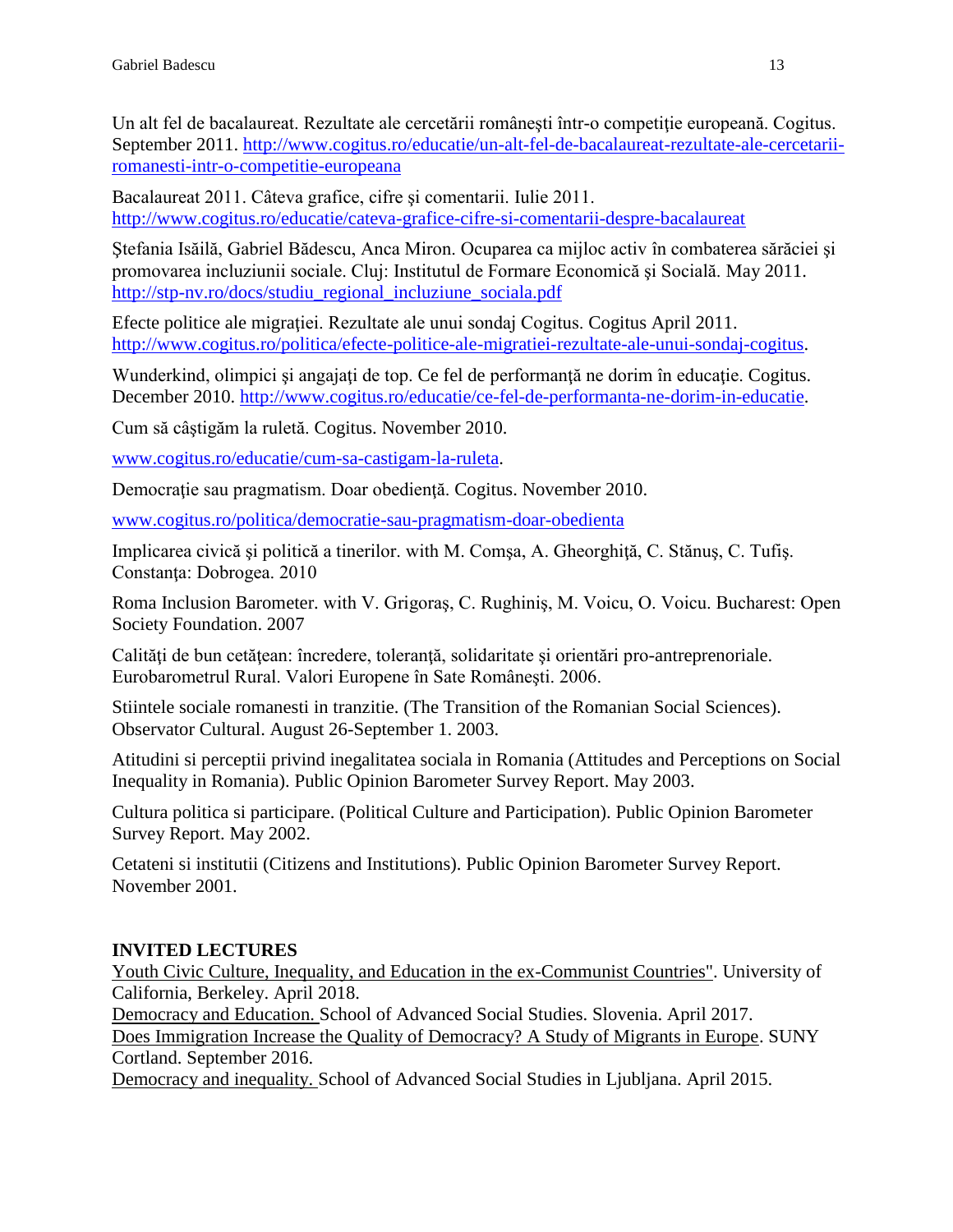Un alt fel de bacalaureat. Rezultate ale cercetării românești într-o competiție europeană. Cogitus. September 2011. [http://www.cogitus.ro/educatie/un-alt-fel-de-bacalaureat-rezultate-ale-cercetarii](http://www.cogitus.ro/educatie/un-alt-fel-de-bacalaureat-rezultate-ale-cercetarii-romanesti-intr-o-competitie-europeana)[romanesti-intr-o-competitie-europeana](http://www.cogitus.ro/educatie/un-alt-fel-de-bacalaureat-rezultate-ale-cercetarii-romanesti-intr-o-competitie-europeana)

Bacalaureat 2011. Câteva grafice, cifre şi comentarii. Iulie 2011. <http://www.cogitus.ro/educatie/cateva-grafice-cifre-si-comentarii-despre-bacalaureat>

Ştefania Isăilă, Gabriel Bădescu, Anca Miron. Ocuparea ca mijloc activ în combaterea sărăciei şi promovarea incluziunii sociale. Cluj: Institutul de Formare Economică şi Socială. May 2011. [http://stp-nv.ro/docs/studiu\\_regional\\_incluziune\\_sociala.pdf](http://stp-nv.ro/docs/studiu_regional_incluziune_sociala.pdf)

Efecte politice ale migraţiei. Rezultate ale unui sondaj Cogitus. Cogitus April 2011. [http://www.cogitus.ro/politica/efecte-politice-ale-migratiei-rezultate-ale-unui-sondaj-cogitus.](http://www.cogitus.ro/politica/efecte-politice-ale-migratiei-rezultate-ale-unui-sondaj-cogitus)

Wunderkind, olimpici şi angajaţi de top. Ce fel de performanţă ne dorim în educaţie. Cogitus. December 2010. [http://www.cogitus.ro/educatie/ce-fel-de-performanta-ne-dorim-in-educatie.](http://www.cogitus.ro/educatie/ce-fel-de-performanta-ne-dorim-in-educatie)

Cum să câştigăm la ruletă. Cogitus. November 2010.

[www.cogitus.ro/educatie/cum-sa-castigam-la-ruleta.](http://www.cogitus.ro/educatie/cum-sa-castigam-la-ruleta)

Democraţie sau pragmatism. Doar obedienţă. Cogitus. November 2010.

[www.cogitus.ro/politica/democratie-sau-pragmatism-doar-obedienta](http://www.cogitus.ro/politica/democratie-sau-pragmatism-doar-obedienta)

Implicarea civică şi politică a tinerilor. with M. Comşa, A. Gheorghiţă, C. Stănuş, C. Tufiş. Constanţa: Dobrogea. 2010

Roma Inclusion Barometer. with V. Grigoraş, C. Rughiniş, M. Voicu, O. Voicu. Bucharest: Open Society Foundation. 2007

Calități de bun cetățean: încredere, toleranță, solidaritate și orientări pro-antreprenoriale. Eurobarometrul Rural. Valori Europene în Sate Româneşti. 2006.

Stiintele sociale romanesti in tranzitie. (The Transition of the Romanian Social Sciences). Observator Cultural. August 26-September 1. 2003.

Atitudini si perceptii privind inegalitatea sociala in Romania (Attitudes and Perceptions on Social Inequality in Romania). Public Opinion Barometer Survey Report. May 2003.

Cultura politica si participare. (Political Culture and Participation). Public Opinion Barometer Survey Report. May 2002.

Cetateni si institutii (Citizens and Institutions). Public Opinion Barometer Survey Report. November 2001.

# **INVITED LECTURES**

Youth Civic Culture, Inequality, and Education in the ex-Communist Countries". University of California, Berkeley. April 2018.

Democracy and Education. School of Advanced Social Studies. Slovenia. April 2017. Does Immigration Increase the Quality of Democracy? A Study of Migrants in Europe. SUNY Cortland. September 2016.

Democracy and inequality. School of Advanced Social Studies in Ljubljana. April 2015.